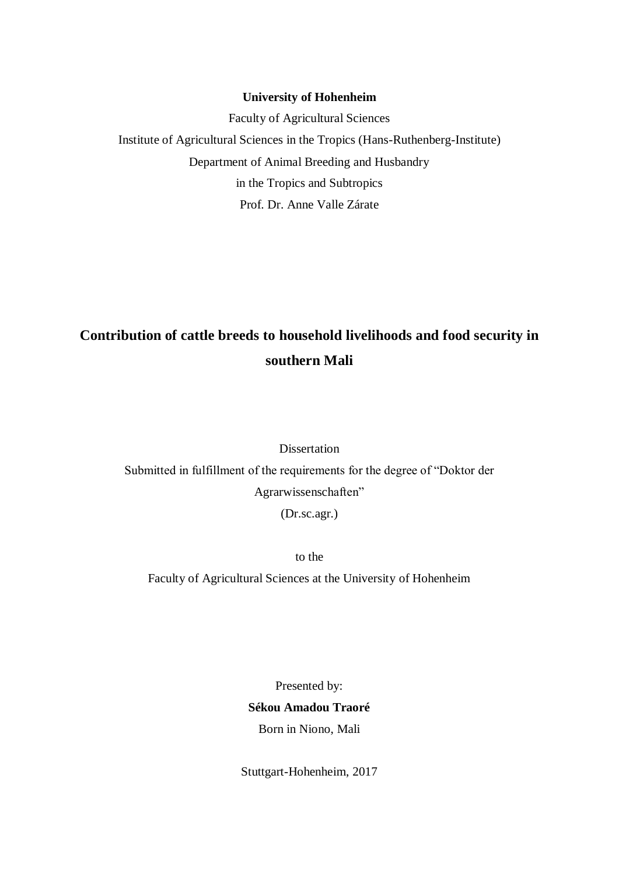### **University of Hohenheim**

Faculty of Agricultural Sciences Institute of Agricultural Sciences in the Tropics (Hans-Ruthenberg-Institute) Department of Animal Breeding and Husbandry in the Tropics and Subtropics Prof. Dr. Anne Valle Zárate

# **Contribution of cattle breeds to household livelihoods and food security in southern Mali**

Dissertation Submitted in fulfillment of the requirements for the degree of "Doktor der Agrarwissenschaften" (Dr.sc.agr.)

to the

Faculty of Agricultural Sciences at the University of Hohenheim

Presented by:

**Sékou Amadou Traoré** Born in Niono, Mali

Stuttgart-Hohenheim, 2017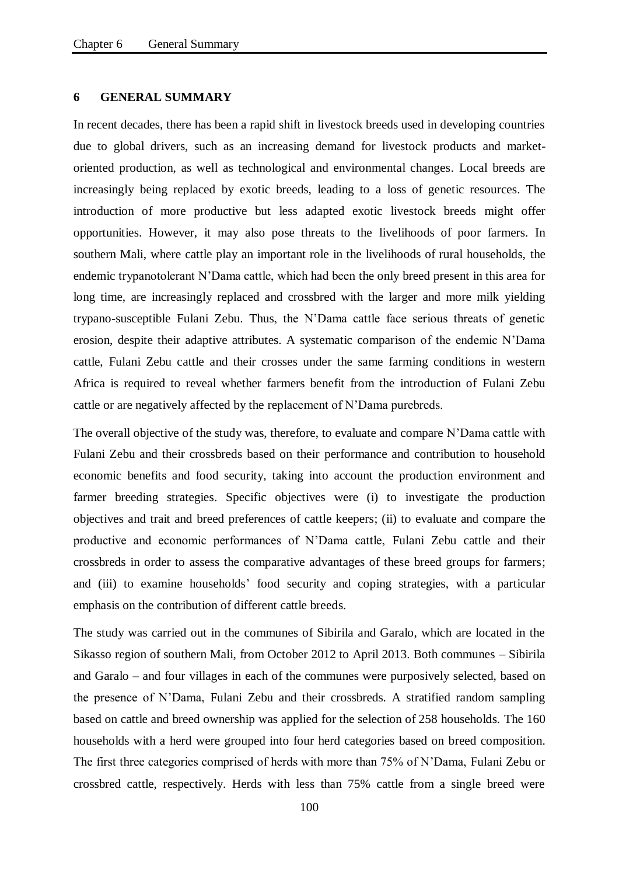## **6 GENERAL SUMMARY**

In recent decades, there has been a rapid shift in livestock breeds used in developing countries due to global drivers, such as an increasing demand for livestock products and marketoriented production, as well as technological and environmental changes. Local breeds are increasingly being replaced by exotic breeds, leading to a loss of genetic resources. The introduction of more productive but less adapted exotic livestock breeds might offer opportunities. However, it may also pose threats to the livelihoods of poor farmers. In southern Mali, where cattle play an important role in the livelihoods of rural households, the endemic trypanotolerant N'Dama cattle, which had been the only breed present in this area for long time, are increasingly replaced and crossbred with the larger and more milk yielding trypano-susceptible Fulani Zebu. Thus, the N'Dama cattle face serious threats of genetic erosion, despite their adaptive attributes. A systematic comparison of the endemic N'Dama cattle, Fulani Zebu cattle and their crosses under the same farming conditions in western Africa is required to reveal whether farmers benefit from the introduction of Fulani Zebu cattle or are negatively affected by the replacement of N'Dama purebreds.

The overall objective of the study was, therefore, to evaluate and compare N'Dama cattle with Fulani Zebu and their crossbreds based on their performance and contribution to household economic benefits and food security, taking into account the production environment and farmer breeding strategies. Specific objectives were (i) to investigate the production objectives and trait and breed preferences of cattle keepers; (ii) to evaluate and compare the productive and economic performances of N'Dama cattle, Fulani Zebu cattle and their crossbreds in order to assess the comparative advantages of these breed groups for farmers; and (iii) to examine households' food security and coping strategies, with a particular emphasis on the contribution of different cattle breeds.

The study was carried out in the communes of Sibirila and Garalo, which are located in the Sikasso region of southern Mali, from October 2012 to April 2013. Both communes – Sibirila and Garalo – and four villages in each of the communes were purposively selected, based on the presence of N'Dama, Fulani Zebu and their crossbreds. A stratified random sampling based on cattle and breed ownership was applied for the selection of 258 households. The 160 households with a herd were grouped into four herd categories based on breed composition. The first three categories comprised of herds with more than 75% of N'Dama, Fulani Zebu or crossbred cattle, respectively. Herds with less than 75% cattle from a single breed were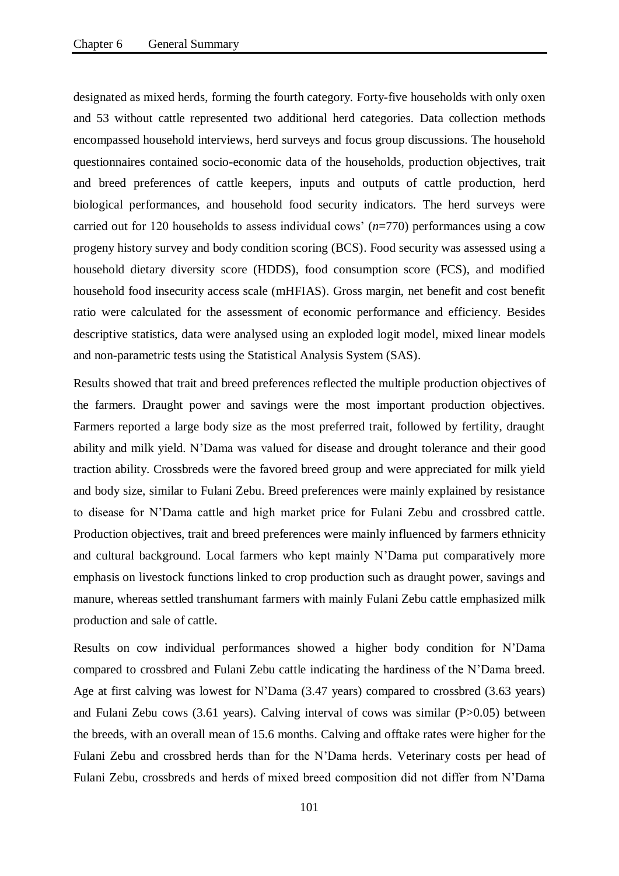designated as mixed herds, forming the fourth category. Forty-five households with only oxen and 53 without cattle represented two additional herd categories. Data collection methods encompassed household interviews, herd surveys and focus group discussions. The household questionnaires contained socio-economic data of the households, production objectives, trait and breed preferences of cattle keepers, inputs and outputs of cattle production, herd biological performances, and household food security indicators. The herd surveys were carried out for 120 households to assess individual cows' (*n*=770) performances using a cow progeny history survey and body condition scoring (BCS). Food security was assessed using a household dietary diversity score (HDDS), food consumption score (FCS), and modified household food insecurity access scale (mHFIAS). Gross margin, net benefit and cost benefit ratio were calculated for the assessment of economic performance and efficiency. Besides descriptive statistics, data were analysed using an exploded logit model, mixed linear models and non-parametric tests using the Statistical Analysis System (SAS).

Results showed that trait and breed preferences reflected the multiple production objectives of the farmers. Draught power and savings were the most important production objectives. Farmers reported a large body size as the most preferred trait, followed by fertility, draught ability and milk yield. N'Dama was valued for disease and drought tolerance and their good traction ability. Crossbreds were the favored breed group and were appreciated for milk yield and body size, similar to Fulani Zebu. Breed preferences were mainly explained by resistance to disease for N'Dama cattle and high market price for Fulani Zebu and crossbred cattle. Production objectives, trait and breed preferences were mainly influenced by farmers ethnicity and cultural background. Local farmers who kept mainly N'Dama put comparatively more emphasis on livestock functions linked to crop production such as draught power, savings and manure, whereas settled transhumant farmers with mainly Fulani Zebu cattle emphasized milk production and sale of cattle.

Results on cow individual performances showed a higher body condition for N'Dama compared to crossbred and Fulani Zebu cattle indicating the hardiness of the N'Dama breed. Age at first calving was lowest for N'Dama (3.47 years) compared to crossbred (3.63 years) and Fulani Zebu cows (3.61 years). Calving interval of cows was similar (P>0.05) between the breeds, with an overall mean of 15.6 months. Calving and offtake rates were higher for the Fulani Zebu and crossbred herds than for the N'Dama herds. Veterinary costs per head of Fulani Zebu, crossbreds and herds of mixed breed composition did not differ from N'Dama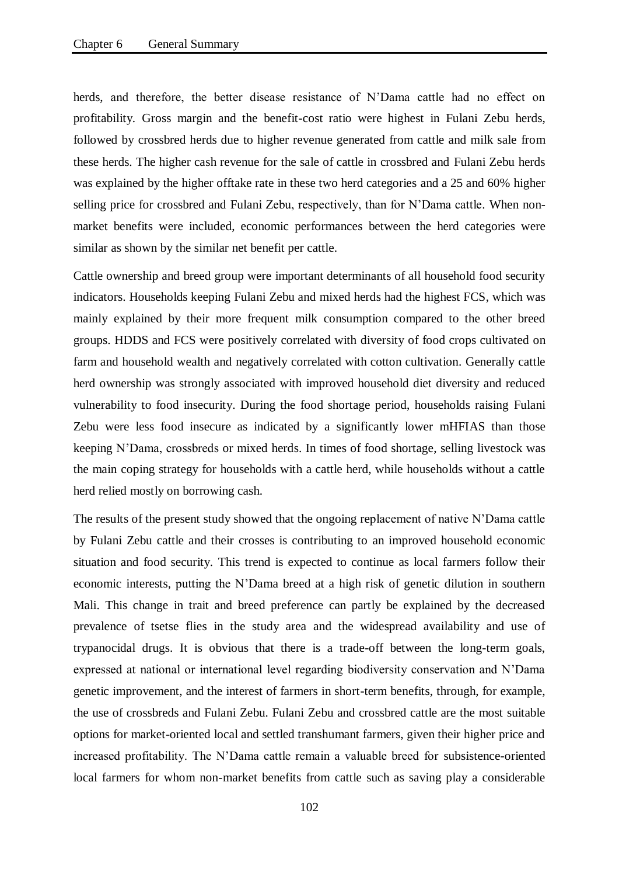herds, and therefore, the better disease resistance of N'Dama cattle had no effect on profitability. Gross margin and the benefit-cost ratio were highest in Fulani Zebu herds, followed by crossbred herds due to higher revenue generated from cattle and milk sale from these herds. The higher cash revenue for the sale of cattle in crossbred and Fulani Zebu herds was explained by the higher offtake rate in these two herd categories and a 25 and 60% higher selling price for crossbred and Fulani Zebu, respectively, than for N'Dama cattle. When nonmarket benefits were included, economic performances between the herd categories were similar as shown by the similar net benefit per cattle.

Cattle ownership and breed group were important determinants of all household food security indicators. Households keeping Fulani Zebu and mixed herds had the highest FCS, which was mainly explained by their more frequent milk consumption compared to the other breed groups. HDDS and FCS were positively correlated with diversity of food crops cultivated on farm and household wealth and negatively correlated with cotton cultivation. Generally cattle herd ownership was strongly associated with improved household diet diversity and reduced vulnerability to food insecurity. During the food shortage period, households raising Fulani Zebu were less food insecure as indicated by a significantly lower mHFIAS than those keeping N'Dama, crossbreds or mixed herds. In times of food shortage, selling livestock was the main coping strategy for households with a cattle herd, while households without a cattle herd relied mostly on borrowing cash.

The results of the present study showed that the ongoing replacement of native N'Dama cattle by Fulani Zebu cattle and their crosses is contributing to an improved household economic situation and food security. This trend is expected to continue as local farmers follow their economic interests, putting the N'Dama breed at a high risk of genetic dilution in southern Mali. This change in trait and breed preference can partly be explained by the decreased prevalence of tsetse flies in the study area and the widespread availability and use of trypanocidal drugs. It is obvious that there is a trade-off between the long-term goals, expressed at national or international level regarding biodiversity conservation and N'Dama genetic improvement, and the interest of farmers in short-term benefits, through, for example, the use of crossbreds and Fulani Zebu. Fulani Zebu and crossbred cattle are the most suitable options for market-oriented local and settled transhumant farmers, given their higher price and increased profitability. The N'Dama cattle remain a valuable breed for subsistence-oriented local farmers for whom non-market benefits from cattle such as saving play a considerable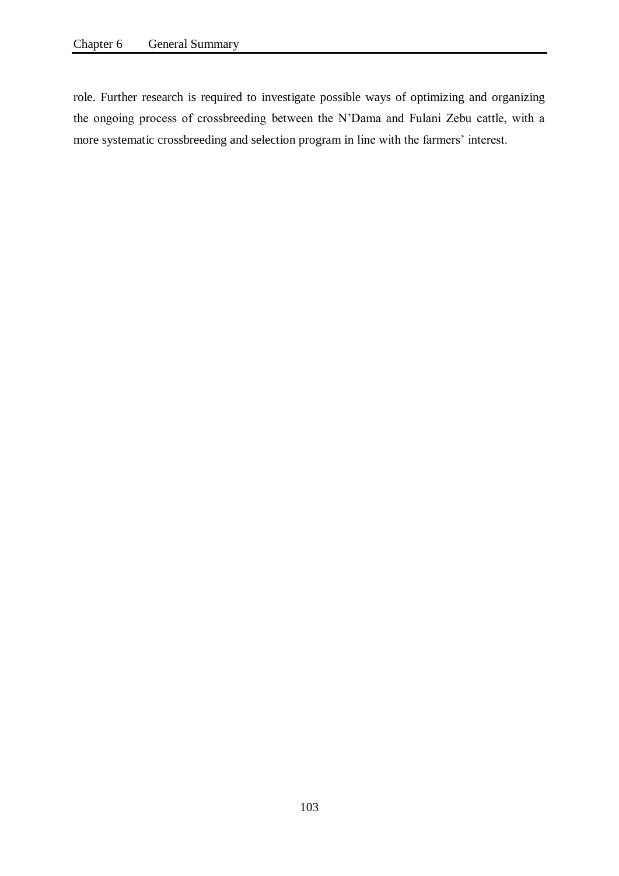role. Further research is required to investigate possible ways of optimizing and organizing the ongoing process of crossbreeding between the N'Dama and Fulani Zebu cattle, with a more systematic crossbreeding and selection program in line with the farmers' interest.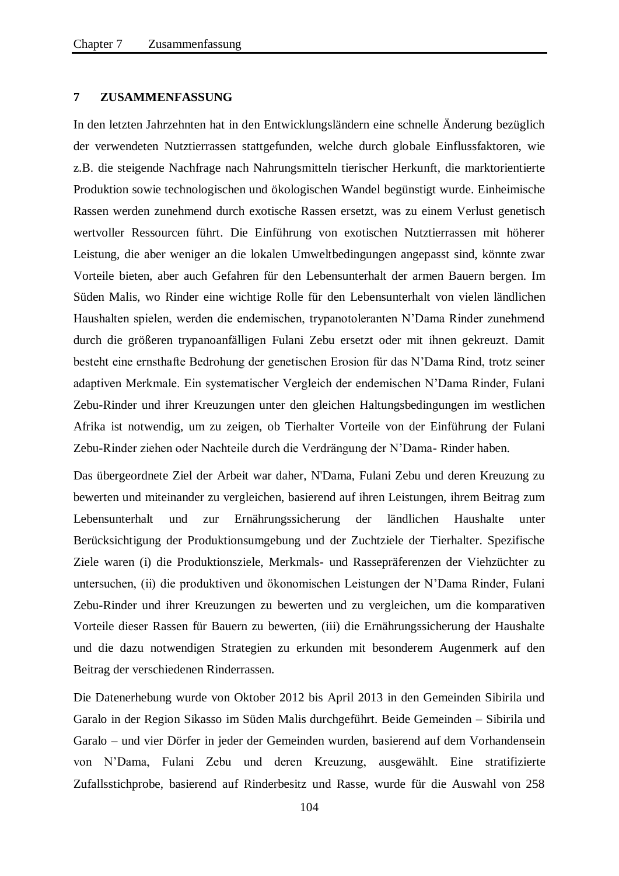### **7 ZUSAMMENFASSUNG**

In den letzten Jahrzehnten hat in den Entwicklungsländern eine schnelle Änderung bezüglich der verwendeten Nutztierrassen stattgefunden, welche durch globale Einflussfaktoren, wie z.B. die steigende Nachfrage nach Nahrungsmitteln tierischer Herkunft, die marktorientierte Produktion sowie technologischen und ökologischen Wandel begünstigt wurde. Einheimische Rassen werden zunehmend durch exotische Rassen ersetzt, was zu einem Verlust genetisch wertvoller Ressourcen führt. Die Einführung von exotischen Nutztierrassen mit höherer Leistung, die aber weniger an die lokalen Umweltbedingungen angepasst sind, könnte zwar Vorteile bieten, aber auch Gefahren für den Lebensunterhalt der armen Bauern bergen. Im Süden Malis, wo Rinder eine wichtige Rolle für den Lebensunterhalt von vielen ländlichen Haushalten spielen, werden die endemischen, trypanotoleranten N'Dama Rinder zunehmend durch die größeren trypanoanfälligen Fulani Zebu ersetzt oder mit ihnen gekreuzt. Damit besteht eine ernsthafte Bedrohung der genetischen Erosion für das N'Dama Rind, trotz seiner adaptiven Merkmale. Ein systematischer Vergleich der endemischen N'Dama Rinder, Fulani Zebu-Rinder und ihrer Kreuzungen unter den gleichen Haltungsbedingungen im westlichen Afrika ist notwendig, um zu zeigen, ob Tierhalter Vorteile von der Einführung der Fulani Zebu-Rinder ziehen oder Nachteile durch die Verdrängung der N'Dama- Rinder haben.

Das übergeordnete Ziel der Arbeit war daher, N'Dama, Fulani Zebu und deren Kreuzung zu bewerten und miteinander zu vergleichen, basierend auf ihren Leistungen, ihrem Beitrag zum Lebensunterhalt und zur Ernährungssicherung der ländlichen Haushalte unter Berücksichtigung der Produktionsumgebung und der Zuchtziele der Tierhalter. Spezifische Ziele waren (i) die Produktionsziele, Merkmals- und Rassepräferenzen der Viehzüchter zu untersuchen, (ii) die produktiven und ökonomischen Leistungen der N'Dama Rinder, Fulani Zebu-Rinder und ihrer Kreuzungen zu bewerten und zu vergleichen, um die komparativen Vorteile dieser Rassen für Bauern zu bewerten, (iii) die Ernährungssicherung der Haushalte und die dazu notwendigen Strategien zu erkunden mit besonderem Augenmerk auf den Beitrag der verschiedenen Rinderrassen.

Die Datenerhebung wurde von Oktober 2012 bis April 2013 in den Gemeinden Sibirila und Garalo in der Region Sikasso im Süden Malis durchgeführt. Beide Gemeinden – Sibirila und Garalo – und vier Dörfer in jeder der Gemeinden wurden, basierend auf dem Vorhandensein von N'Dama, Fulani Zebu und deren Kreuzung, ausgewählt. Eine stratifizierte Zufallsstichprobe, basierend auf Rinderbesitz und Rasse, wurde für die Auswahl von 258

104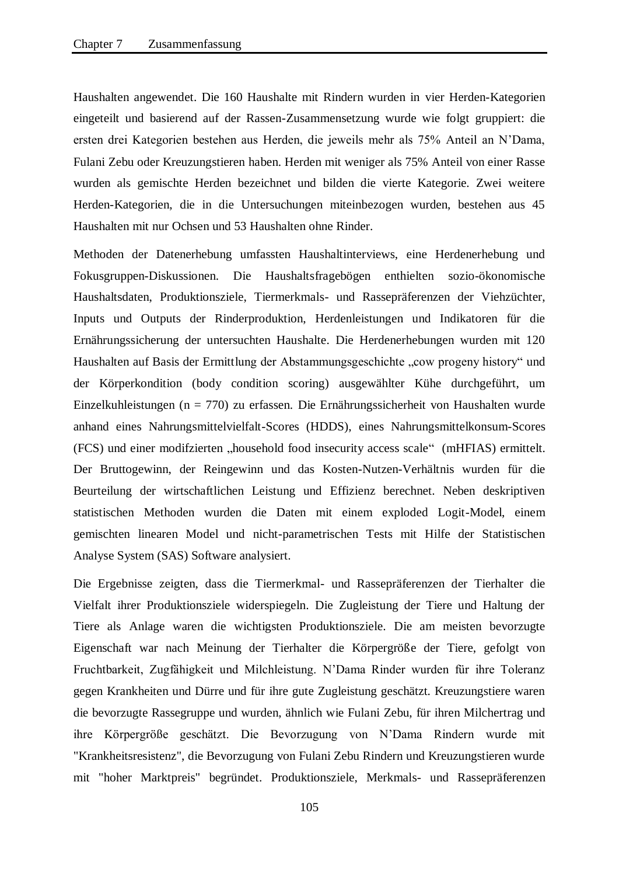Haushalten angewendet. Die 160 Haushalte mit Rindern wurden in vier Herden-Kategorien eingeteilt und basierend auf der Rassen-Zusammensetzung wurde wie folgt gruppiert: die ersten drei Kategorien bestehen aus Herden, die jeweils mehr als 75% Anteil an N'Dama, Fulani Zebu oder Kreuzungstieren haben. Herden mit weniger als 75% Anteil von einer Rasse wurden als gemischte Herden bezeichnet und bilden die vierte Kategorie. Zwei weitere Herden-Kategorien, die in die Untersuchungen miteinbezogen wurden, bestehen aus 45 Haushalten mit nur Ochsen und 53 Haushalten ohne Rinder.

Methoden der Datenerhebung umfassten Haushaltinterviews, eine Herdenerhebung und Fokusgruppen-Diskussionen. Die Haushaltsfragebögen enthielten sozio-ökonomische Haushaltsdaten, Produktionsziele, Tiermerkmals- und Rassepräferenzen der Viehzüchter, Inputs und Outputs der Rinderproduktion, Herdenleistungen und Indikatoren für die Ernährungssicherung der untersuchten Haushalte. Die Herdenerhebungen wurden mit 120 Haushalten auf Basis der Ermittlung der Abstammungsgeschichte "cow progeny history" und der Körperkondition (body condition scoring) ausgewählter Kühe durchgeführt, um Einzelkuhleistungen (n = 770) zu erfassen. Die Ernährungssicherheit von Haushalten wurde anhand eines Nahrungsmittelvielfalt-Scores (HDDS), eines Nahrungsmittelkonsum-Scores (FCS) und einer modifzierten "household food insecurity access scale" (mHFIAS) ermittelt. Der Bruttogewinn, der Reingewinn und das Kosten-Nutzen-Verhältnis wurden für die Beurteilung der wirtschaftlichen Leistung und Effizienz berechnet. Neben deskriptiven statistischen Methoden wurden die Daten mit einem exploded Logit-Model, einem gemischten linearen Model und nicht-parametrischen Tests mit Hilfe der Statistischen Analyse System (SAS) Software analysiert.

Die Ergebnisse zeigten, dass die Tiermerkmal- und Rassepräferenzen der Tierhalter die Vielfalt ihrer Produktionsziele widerspiegeln. Die Zugleistung der Tiere und Haltung der Tiere als Anlage waren die wichtigsten Produktionsziele. Die am meisten bevorzugte Eigenschaft war nach Meinung der Tierhalter die Körpergröße der Tiere, gefolgt von Fruchtbarkeit, Zugfähigkeit und Milchleistung. N'Dama Rinder wurden für ihre Toleranz gegen Krankheiten und Dürre und für ihre gute Zugleistung geschätzt. Kreuzungstiere waren die bevorzugte Rassegruppe und wurden, ähnlich wie Fulani Zebu, für ihren Milchertrag und ihre Körpergröße geschätzt. Die Bevorzugung von N'Dama Rindern wurde mit "Krankheitsresistenz", die Bevorzugung von Fulani Zebu Rindern und Kreuzungstieren wurde mit "hoher Marktpreis" begründet. Produktionsziele, Merkmals- und Rassepräferenzen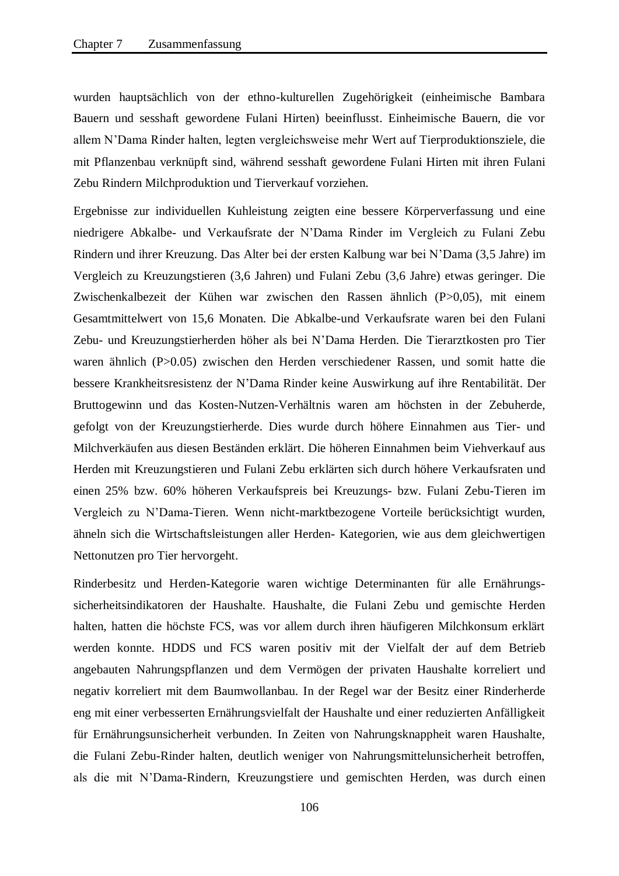wurden hauptsächlich von der ethno-kulturellen Zugehörigkeit (einheimische Bambara Bauern und sesshaft gewordene Fulani Hirten) beeinflusst. Einheimische Bauern, die vor allem N'Dama Rinder halten, legten vergleichsweise mehr Wert auf Tierproduktionsziele, die mit Pflanzenbau verknüpft sind, während sesshaft gewordene Fulani Hirten mit ihren Fulani Zebu Rindern Milchproduktion und Tierverkauf vorziehen.

Ergebnisse zur individuellen Kuhleistung zeigten eine bessere Körperverfassung und eine niedrigere Abkalbe- und Verkaufsrate der N'Dama Rinder im Vergleich zu Fulani Zebu Rindern und ihrer Kreuzung. Das Alter bei der ersten Kalbung war bei N'Dama (3,5 Jahre) im Vergleich zu Kreuzungstieren (3,6 Jahren) und Fulani Zebu (3,6 Jahre) etwas geringer. Die Zwischenkalbezeit der Kühen war zwischen den Rassen ähnlich (P>0,05), mit einem Gesamtmittelwert von 15,6 Monaten. Die Abkalbe-und Verkaufsrate waren bei den Fulani Zebu- und Kreuzungstierherden höher als bei N'Dama Herden. Die Tierarztkosten pro Tier waren ähnlich (P>0.05) zwischen den Herden verschiedener Rassen, und somit hatte die bessere Krankheitsresistenz der N'Dama Rinder keine Auswirkung auf ihre Rentabilität. Der Bruttogewinn und das Kosten-Nutzen-Verhältnis waren am höchsten in der Zebuherde, gefolgt von der Kreuzungstierherde. Dies wurde durch höhere Einnahmen aus Tier- und Milchverkäufen aus diesen Beständen erklärt. Die höheren Einnahmen beim Viehverkauf aus Herden mit Kreuzungstieren und Fulani Zebu erklärten sich durch höhere Verkaufsraten und einen 25% bzw. 60% höheren Verkaufspreis bei Kreuzungs- bzw. Fulani Zebu-Tieren im Vergleich zu N'Dama-Tieren. Wenn nicht-marktbezogene Vorteile berücksichtigt wurden, ähneln sich die Wirtschaftsleistungen aller Herden- Kategorien, wie aus dem gleichwertigen Nettonutzen pro Tier hervorgeht.

Rinderbesitz und Herden-Kategorie waren wichtige Determinanten für alle Ernährungssicherheitsindikatoren der Haushalte. Haushalte, die Fulani Zebu und gemischte Herden halten, hatten die höchste FCS, was vor allem durch ihren häufigeren Milchkonsum erklärt werden konnte. HDDS und FCS waren positiv mit der Vielfalt der auf dem Betrieb angebauten Nahrungspflanzen und dem Vermögen der privaten Haushalte korreliert und negativ korreliert mit dem Baumwollanbau. In der Regel war der Besitz einer Rinderherde eng mit einer verbesserten Ernährungsvielfalt der Haushalte und einer reduzierten Anfälligkeit für Ernährungsunsicherheit verbunden. In Zeiten von Nahrungsknappheit waren Haushalte, die Fulani Zebu-Rinder halten, deutlich weniger von Nahrungsmittelunsicherheit betroffen, als die mit N'Dama-Rindern, Kreuzungstiere und gemischten Herden, was durch einen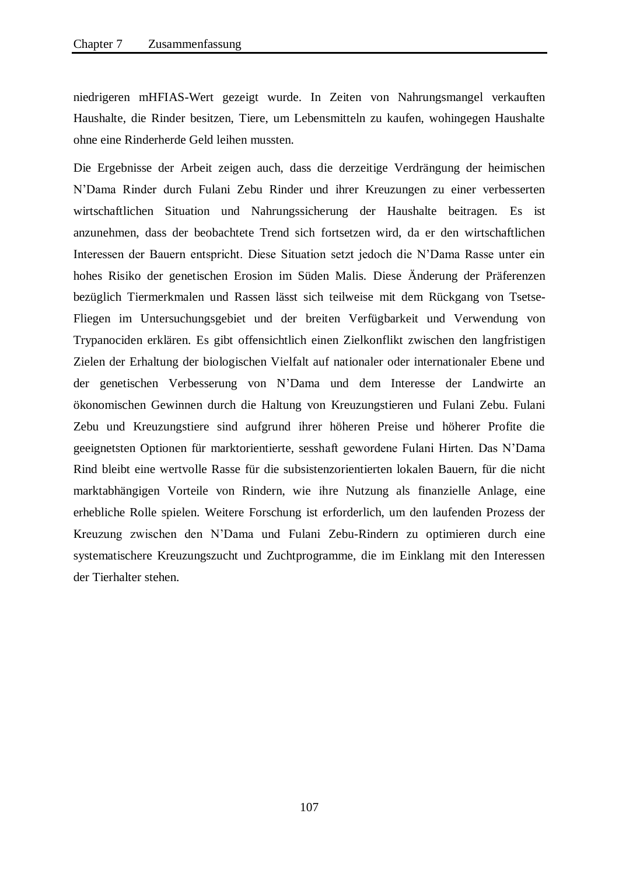niedrigeren mHFIAS-Wert gezeigt wurde. In Zeiten von Nahrungsmangel verkauften Haushalte, die Rinder besitzen, Tiere, um Lebensmitteln zu kaufen, wohingegen Haushalte ohne eine Rinderherde Geld leihen mussten.

Die Ergebnisse der Arbeit zeigen auch, dass die derzeitige Verdrängung der heimischen N'Dama Rinder durch Fulani Zebu Rinder und ihrer Kreuzungen zu einer verbesserten wirtschaftlichen Situation und Nahrungssicherung der Haushalte beitragen. Es ist anzunehmen, dass der beobachtete Trend sich fortsetzen wird, da er den wirtschaftlichen Interessen der Bauern entspricht. Diese Situation setzt jedoch die N'Dama Rasse unter ein hohes Risiko der genetischen Erosion im Süden Malis. Diese Änderung der Präferenzen bezüglich Tiermerkmalen und Rassen lässt sich teilweise mit dem Rückgang von Tsetse-Fliegen im Untersuchungsgebiet und der breiten Verfügbarkeit und Verwendung von Trypanociden erklären. Es gibt offensichtlich einen Zielkonflikt zwischen den langfristigen Zielen der Erhaltung der biologischen Vielfalt auf nationaler oder internationaler Ebene und der genetischen Verbesserung von N'Dama und dem Interesse der Landwirte an ökonomischen Gewinnen durch die Haltung von Kreuzungstieren und Fulani Zebu. Fulani Zebu und Kreuzungstiere sind aufgrund ihrer höheren Preise und höherer Profite die geeignetsten Optionen für marktorientierte, sesshaft gewordene Fulani Hirten. Das N'Dama Rind bleibt eine wertvolle Rasse für die subsistenzorientierten lokalen Bauern, für die nicht marktabhängigen Vorteile von Rindern, wie ihre Nutzung als finanzielle Anlage, eine erhebliche Rolle spielen. Weitere Forschung ist erforderlich, um den laufenden Prozess der Kreuzung zwischen den N'Dama und Fulani Zebu-Rindern zu optimieren durch eine systematischere Kreuzungszucht und Zuchtprogramme, die im Einklang mit den Interessen der Tierhalter stehen.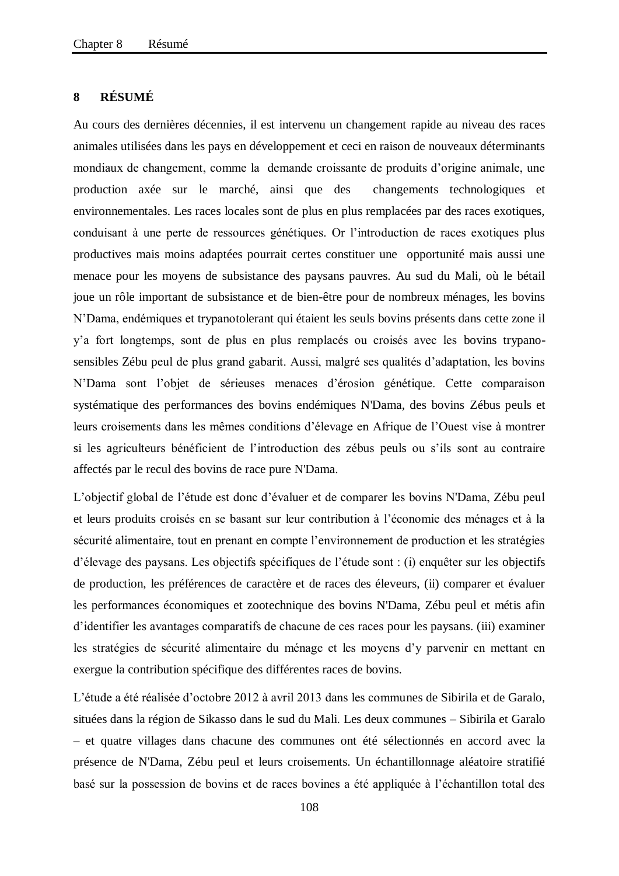## **8 RÉSUMÉ**

Au cours des dernières décennies, il est intervenu un changement rapide au niveau des races animales utilisées dans les pays en développement et ceci en raison de nouveaux déterminants mondiaux de changement, comme la demande croissante de produits d'origine animale, une production axée sur le marché, ainsi que des changements technologiques et environnementales. Les races locales sont de plus en plus remplacées par des races exotiques, conduisant à une perte de ressources génétiques. Or l'introduction de races exotiques plus productives mais moins adaptées pourrait certes constituer une opportunité mais aussi une menace pour les moyens de subsistance des paysans pauvres. Au sud du Mali, où le bétail joue un rôle important de subsistance et de bien-être pour de nombreux ménages, les bovins N'Dama, endémiques et trypanotolerant qui étaient les seuls bovins présents dans cette zone il y'a fort longtemps, sont de plus en plus remplacés ou croisés avec les bovins trypanosensibles Zébu peul de plus grand gabarit. Aussi, malgré ses qualités d'adaptation, les bovins N'Dama sont l'objet de sérieuses menaces d'érosion génétique. Cette comparaison systématique des performances des bovins endémiques N'Dama, des bovins Zébus peuls et leurs croisements dans les mêmes conditions d'élevage en Afrique de l'Ouest vise à montrer si les agriculteurs bénéficient de l'introduction des zébus peuls ou s'ils sont au contraire affectés par le recul des bovins de race pure N'Dama.

L'objectif global de l'étude est donc d'évaluer et de comparer les bovins N'Dama, Zébu peul et leurs produits croisés en se basant sur leur contribution à l'économie des ménages et à la sécurité alimentaire, tout en prenant en compte l'environnement de production et les stratégies d'élevage des paysans. Les objectifs spécifiques de l'étude sont : (i) enquêter sur les objectifs de production, les préférences de caractère et de races des éleveurs, (ii) comparer et évaluer les performances économiques et zootechnique des bovins N'Dama, Zébu peul et métis afin d'identifier les avantages comparatifs de chacune de ces races pour les paysans. (iii) examiner les stratégies de sécurité alimentaire du ménage et les moyens d'y parvenir en mettant en exergue la contribution spécifique des différentes races de bovins.

L'étude a été réalisée d'octobre 2012 à avril 2013 dans les communes de Sibirila et de Garalo, situées dans la région de Sikasso dans le sud du Mali. Les deux communes – Sibirila et Garalo – et quatre villages dans chacune des communes ont été sélectionnés en accord avec la présence de N'Dama, Zébu peul et leurs croisements. Un échantillonnage aléatoire stratifié basé sur la possession de bovins et de races bovines a été appliquée à l'échantillon total des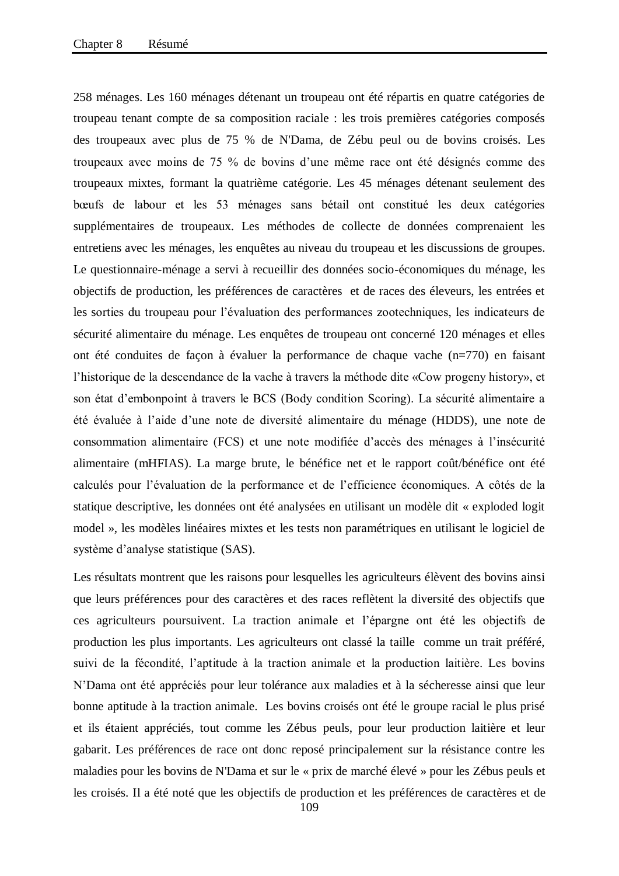258 ménages. Les 160 ménages détenant un troupeau ont été répartis en quatre catégories de troupeau tenant compte de sa composition raciale : les trois premières catégories composés des troupeaux avec plus de 75 % de N'Dama, de Zébu peul ou de bovins croisés. Les troupeaux avec moins de 75 % de bovins d'une même race ont été désignés comme des troupeaux mixtes, formant la quatrième catégorie. Les 45 ménages détenant seulement des bœufs de labour et les 53 ménages sans bétail ont constitué les deux catégories supplémentaires de troupeaux. Les méthodes de collecte de données comprenaient les entretiens avec les ménages, les enquêtes au niveau du troupeau et les discussions de groupes. Le questionnaire-ménage a servi à recueillir des données socio-économiques du ménage, les objectifs de production, les préférences de caractères et de races des éleveurs, les entrées et les sorties du troupeau pour l'évaluation des performances zootechniques, les indicateurs de sécurité alimentaire du ménage. Les enquêtes de troupeau ont concerné 120 ménages et elles ont été conduites de façon à évaluer la performance de chaque vache (n=770) en faisant l'historique de la descendance de la vache à travers la méthode dite «Cow progeny history», et son état d'embonpoint à travers le BCS (Body condition Scoring). La sécurité alimentaire a été évaluée à l'aide d'une note de diversité alimentaire du ménage (HDDS), une note de consommation alimentaire (FCS) et une note modifiée d'accès des ménages à l'insécurité alimentaire (mHFIAS). La marge brute, le bénéfice net et le rapport coût/bénéfice ont été calculés pour l'évaluation de la performance et de l'efficience économiques. A côtés de la statique descriptive, les données ont été analysées en utilisant un modèle dit « exploded logit model », les modèles linéaires mixtes et les tests non paramétriques en utilisant le logiciel de système d'analyse statistique (SAS).

Les résultats montrent que les raisons pour lesquelles les agriculteurs élèvent des bovins ainsi que leurs préférences pour des caractères et des races reflètent la diversité des objectifs que ces agriculteurs poursuivent. La traction animale et l'épargne ont été les objectifs de production les plus importants. Les agriculteurs ont classé la taille comme un trait préféré, suivi de la fécondité, l'aptitude à la traction animale et la production laitière. Les bovins N'Dama ont été appréciés pour leur tolérance aux maladies et à la sécheresse ainsi que leur bonne aptitude à la traction animale. Les bovins croisés ont été le groupe racial le plus prisé et ils étaient appréciés, tout comme les Zébus peuls, pour leur production laitière et leur gabarit. Les préférences de race ont donc reposé principalement sur la résistance contre les maladies pour les bovins de N'Dama et sur le « prix de marché élevé » pour les Zébus peuls et les croisés. Il a été noté que les objectifs de production et les préférences de caractères et de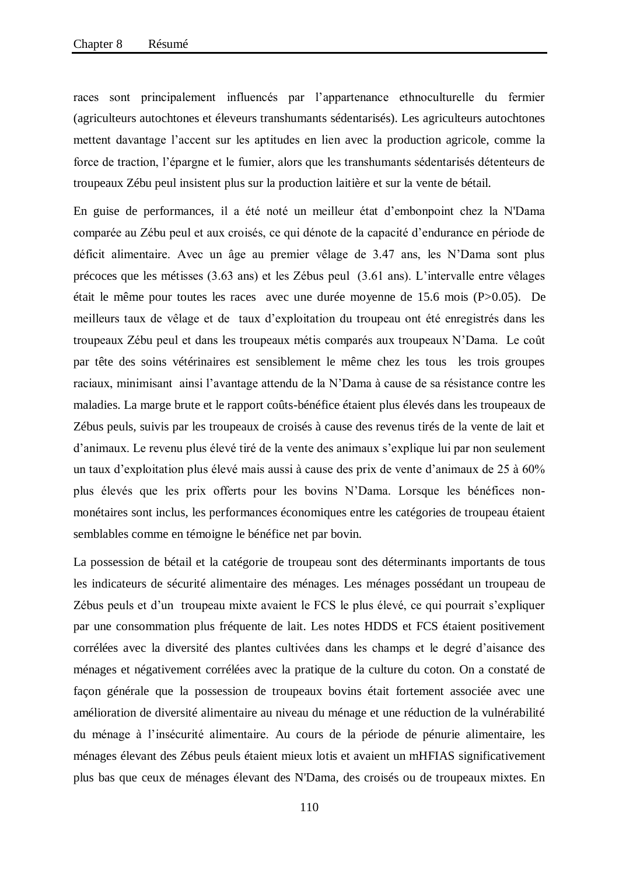races sont principalement influencés par l'appartenance ethnoculturelle du fermier (agriculteurs autochtones et éleveurs transhumants sédentarisés). Les agriculteurs autochtones mettent davantage l'accent sur les aptitudes en lien avec la production agricole, comme la force de traction, l'épargne et le fumier, alors que les transhumants sédentarisés détenteurs de troupeaux Zébu peul insistent plus sur la production laitière et sur la vente de bétail.

En guise de performances, il a été noté un meilleur état d'embonpoint chez la N'Dama comparée au Zébu peul et aux croisés, ce qui dénote de la capacité d'endurance en période de déficit alimentaire. Avec un âge au premier vêlage de 3.47 ans, les N'Dama sont plus précoces que les métisses (3.63 ans) et les Zébus peul (3.61 ans). L'intervalle entre vêlages était le même pour toutes les races avec une durée moyenne de 15.6 mois (P>0.05). De meilleurs taux de vêlage et de taux d'exploitation du troupeau ont été enregistrés dans les troupeaux Zébu peul et dans les troupeaux métis comparés aux troupeaux N'Dama. Le coût par tête des soins vétérinaires est sensiblement le même chez les tous les trois groupes raciaux, minimisant ainsi l'avantage attendu de la N'Dama à cause de sa résistance contre les maladies. La marge brute et le rapport coûts-bénéfice étaient plus élevés dans les troupeaux de Zébus peuls, suivis par les troupeaux de croisés à cause des revenus tirés de la vente de lait et d'animaux. Le revenu plus élevé tiré de la vente des animaux s'explique lui par non seulement un taux d'exploitation plus élevé mais aussi à cause des prix de vente d'animaux de 25 à 60% plus élevés que les prix offerts pour les bovins N'Dama. Lorsque les bénéfices nonmonétaires sont inclus, les performances économiques entre les catégories de troupeau étaient semblables comme en témoigne le bénéfice net par bovin.

La possession de bétail et la catégorie de troupeau sont des déterminants importants de tous les indicateurs de sécurité alimentaire des ménages. Les ménages possédant un troupeau de Zébus peuls et d'un troupeau mixte avaient le FCS le plus élevé, ce qui pourrait s'expliquer par une consommation plus fréquente de lait. Les notes HDDS et FCS étaient positivement corrélées avec la diversité des plantes cultivées dans les champs et le degré d'aisance des ménages et négativement corrélées avec la pratique de la culture du coton. On a constaté de façon générale que la possession de troupeaux bovins était fortement associée avec une amélioration de diversité alimentaire au niveau du ménage et une réduction de la vulnérabilité du ménage à l'insécurité alimentaire. Au cours de la période de pénurie alimentaire, les ménages élevant des Zébus peuls étaient mieux lotis et avaient un mHFIAS significativement plus bas que ceux de ménages élevant des N'Dama, des croisés ou de troupeaux mixtes. En